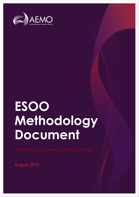

# **ESOO Methodology Document**

**August 2019**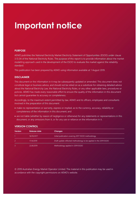### **Important notice**

#### **PURPOSE**

AEMO publishes the National Electricity Market Electricity Statement of Opportunities (ESOO) under clause 3.13.3A of the National Electricity Rules. The purpose of this report is to provide information about the market modelling approach used in the development of the ESOO to evaluate the market against the reliability standard.

This publication has been prepared by AEMO using information available at 1 August 2019.

#### **DISCLAIMER**

This document or the information in it may be subsequently updated or amended. This document does not constitute legal or business advice, and should not be relied on as a substitute for obtaining detailed advice about the National Electricity Law, the National Electricity Rules, or any other applicable laws, procedures or policies. AEMO has made every reasonable effort to ensure the quality of the information in this document but cannot guarantee its accuracy or completeness.

Accordingly, to the maximum extent permitted by law, AEMO and its officers, employees and consultants involved in the preparation of this document:

- make no representation or warranty, express or implied, as to the currency, accuracy, reliability or completeness of the information in this document; and
- are not liable (whether by reason of negligence or otherwise) for any statements or representations in this document, or any omissions from it, or for any use or reliance on the information in it.

| <b>Version</b> | Release date | <b>Changes</b>                                                    |
|----------------|--------------|-------------------------------------------------------------------|
|                | 16/10/2017   | Initial publication covering 2017 ESOO methodology                |
|                | 17/4/2019    | Draft update reflected methodology to be applied in the 2019 ESOO |
| 3              | 22/8/2019    | Methodology applied in 2019 ESOO                                  |

#### **VERSION CONTROL**

© 2019 Australian Energy Market Operator Limited. The material in this publication may be used in accordance with the [copyright permissions on AEMO's website](http://aemo.com.au/Privacy_and_Legal_Notices/Copyright_Permissions_Notice).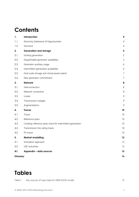### **Contents**

| 1.       | Introduction                                               | 4              |
|----------|------------------------------------------------------------|----------------|
| 1.1      | Electricity Statement of Opportunities                     | $\overline{4}$ |
| 1.2      | Structure                                                  | $\overline{4}$ |
| 2.       | <b>Generation and storage</b>                              | 5              |
| 2.1      | Existing generation                                        | 5              |
| 2.2      | Dispatchable generator availability                        | 5              |
| 2.3      | Generator auxiliary usage                                  | 6              |
| 2.4      | Intermittent generation availability                       | 6              |
| 2.5      | Grid-scale storage and virtual power plants                | $\overline{7}$ |
| 2.6      | New generator commitment                                   | $\overline{7}$ |
| 3.       | <b>Network</b>                                             | 8              |
| 3.1      | Interconnectors                                            | 8              |
| 3.2      | Network constraints                                        | $\,8\,$        |
| 3.3      | Losses                                                     | 9              |
| 3.4      | Transmission outages                                       | 9              |
| 3.5      | Augmentations                                              | 9              |
| 4.       | <b>Traces</b>                                              | 10             |
| 4.1      | Traces                                                     | 10             |
| 4.2      | Reference years                                            | 10             |
| 4.3      | Creating reference years trace for intermittent generation | 10             |
| 4.4      | Transmission line rating traces                            | 10             |
| 4.5      | PV traces                                                  | 10             |
| 5.       | <b>Market modelling</b>                                    | 12             |
| 5.1      | Simulation approach                                        | 12             |
| 5.2      | USE outcomes                                               | 12             |
| A1.      | Appendix - data sources                                    | 15             |
| Glossary |                                                            | 16             |

### **Tables**

Table 1 [Key sources of input data for NEM ESOO model](#page-14-1) 15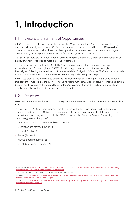## <span id="page-3-0"></span>**1. Introduction**

#### <span id="page-3-1"></span>1.1 Electricity Statement of Opportunities

AEMO is required to publish an Electricity Statement of Opportunities (ESOO) for the National Electricity Market (NEM) annually under clause 3.13.3A of the National Electricity Rules (NER). The ESOO provides information that can help stakeholders plan their operations, investments and divestment over a 10-year outlook period, including information about the future supply-demand balance.

The ESOO also indicates when generation or demand side participation (DSP) capacity or augmentation of the power system is required to meet the reliability standard.

The reliability standard is set by the Reliability Panel and is currently defined as a maximum expected unserved energy (USE) in a region of 0.002% of total energy demanded in that region for a given financial year. Following the introduction of Retailer Reliability Obligation (RRO), the ESOO also has to include a Reliability Forecast as set out in the Reliability Forecasting Methodology Final Report<sup>1</sup>

AEMO uses probabilistic modelling to determine the expected USE by NEM region. This is done through time-sequential modelling at the interval level<sup>2</sup> using Monte-Carlo simulations of security-constrained optimal dispatch. AEMO compares the probability-weighted USE assessment against the reliability standard and identifies potential for the reliability standard to be exceeded.

#### <span id="page-3-2"></span>1.2 Structure

AEMO follows the methodology outlined at a high level in the Reliability Standard Implementation Guidelines  $(RSIG)<sup>3</sup>$ .

The intent of this ESOO Methodology document is to explain the key supply inputs and methodologies involved in producing the ESOO outcomes in more detail. For more information about the process used in creating the demand projections used in the ESOO, please see the Electricity Demand Forecasting Methodology Information paper<sup>4</sup>.

This document is structured into the following sections:

- Generation and storage (Section 2).
- Network (Section 3).
- Traces (Section 4).

- Market modelling (Section 5).
- List of data sources (Appendix A1).

<sup>&</sup>lt;sup>1</sup> See Section 5.3 a[t https://www.aemo.com.au/-/media/Files/Stakeholder\\_Consultation/Consultations/NEM-Consultations/2019/Reliability-Forecasting-](https://www.aemo.com.au/-/media/Files/Stakeholder_Consultation/Consultations/NEM-Consultations/2019/Reliability-Forecasting-Methodology/Reliability-Forecasting-Methodology-Final-Report.pdf)[Methodology/Reliability-Forecasting-Methodology-Final-Report.pdf.](https://www.aemo.com.au/-/media/Files/Stakeholder_Consultation/Consultations/NEM-Consultations/2019/Reliability-Forecasting-Methodology/Reliability-Forecasting-Methodology-Final-Report.pdf)

<sup>&</sup>lt;sup>2</sup> AEMO currently models at the hourly level, but may change to half-hourly in the future.

<sup>&</sup>lt;sup>3</sup> Available at [https://www.aemo.com.au/-/media/Files/Stakeholder\\_Consultation/Consultations/Electricity\\_Consultations/2018/RSIG-Final/Reliability-](https://www.aemo.com.au/-/media/Files/Stakeholder_Consultation/Consultations/Electricity_Consultations/2018/RSIG-Final/Reliability-Standard-Implementation-Guidelines-June-2018.pdf)[Standard-Implementation-Guidelines-June-2018.pdf.](https://www.aemo.com.au/-/media/Files/Stakeholder_Consultation/Consultations/Electricity_Consultations/2018/RSIG-Final/Reliability-Standard-Implementation-Guidelines-June-2018.pdf)

<sup>4</sup> Available a[t https://www.aemo.com.au/-/media/Files/Electricity/NEM/Planning\\_and\\_Forecasting/NEM\\_ESOO/2019/Electricity-Demand-Forecasting-](https://www.aemo.com.au/-/media/Files/Electricity/NEM/Planning_and_Forecasting/NEM_ESOO/2019/Electricity-Demand-Forecasting-Methodology-Information-Paper.pdf)[Methodology-Information-Paper.pdf.](https://www.aemo.com.au/-/media/Files/Electricity/NEM/Planning_and_Forecasting/NEM_ESOO/2019/Electricity-Demand-Forecasting-Methodology-Information-Paper.pdf)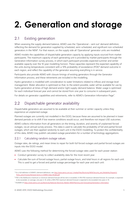### <span id="page-4-0"></span>**2. Generation and storage**

#### <span id="page-4-1"></span>2.1 Existing generation

When assessing the supply-demand balance, AEMO uses the 'Operational – sent out' demand definition, reflecting the demand for generation supplied by scheduled, semi-scheduled, and significant non-scheduled generators in the NEM<sup>5</sup>. For that reason, on the supply side all 'Operational' generator units are modelled.

AEMO models the capabilities of dispatchable generation capacity by applying inputs sourced from market participants. The maximum capacity of each generating unit is provided by market participants through the Generation Information survey process, in which each participant provides expected summer and winter available capacity over the 10-year modelling horizon. These capacities represent the expected capability of the units during temperatures consistent with a 10% probability of exceedance (POE)<sup>6</sup> demand outcome in each region, and reflect the capability of the generator assuming everything is in service.

Participants also provide AEMO with closure timings of existing generators through the Generator Information process, and these retirements are included in the modelling.

Hydro generation is modelled with consideration to water limitations related to inflows and storage level management. Water allocation is optimised so that, to the extent possible, water will be available for use by hydro generation at times of high demand and/or tight supply-demand balance. Water usage is optimised for each individual forecast year and cannot be stored from one year to consume in subsequent years.

For details on generator capabilities and retirements, refer to AEMO's Generation Information Page<sup>7</sup>.

#### <span id="page-4-2"></span>2.2 Dispatchable generator availability

Dispatchable generators are assumed to be available at their summer or winter capacity unless they experience an unplanned outage.

Planned outages are currently not modelled in the ESOO, because these are assumed to be planned in lower demand periods or to shift if low reserve conditions would occur, and therefore not impact USE outcomes.

AEMO collects information from all generators on the timing, duration, and severity of unplanned forced outages, via an annual survey process. This data is used to calculate the probability of full and partial forced outages, which are then applied randomly to each unit in the ESOO modelling. To protect the confidentiality of this data, AEMO may publish calculated outage parameters for a number of technology aggregations.

#### <span id="page-4-3"></span>2.2.1 Calculating random outage values

Outage rates, de-ratings, and mean times to repair for both full forced outages and partial forced outages are inputs into the ESOO model.

AEMO uses the following method for determining the forced outage rates used for each power station:

- Conduct generator survey to collect availability data for the most recent year.
- Calculate the sum of forced outage hours, partial outage hours, and total hours in all regions for each unit. This is used to get a forced and partial outage percentage for each year and each unit:

<sup>&</sup>lt;sup>5</sup> For a full definition of AEMO's demand definitions, see [http://www.aemo.com.au/-/media/Files/Electricity/NEM/Security\\_and\\_Reliability/Dispatch/](http://www.aemo.com.au/-/media/Files/Electricity/NEM/Security_and_Reliability/Dispatch/Policy_and_Process/Demand-terms-in-EMMS-Data-Model.pdf) [Policy\\_and\\_Process/Demand-terms-in-EMMS-Data-Model.pdf.](http://www.aemo.com.au/-/media/Files/Electricity/NEM/Security_and_Reliability/Dispatch/Policy_and_Process/Demand-terms-in-EMMS-Data-Model.pdf)

<sup>6</sup> POE is the likelihood a maximum or minimum demand forecast will be met or exceeded. A 10% POE maximum demand forecast, for example, is expected to be exceeded, on average, one year in 10, while a 90% POE maximum demand forecast is expected to be exceeded nine years in 10.

<sup>7</sup> Available a[t https://www.aemo.com.au/Electricity/National-Electricity-Market-NEM/Planning-and-forecasting/Generation-information.](https://www.aemo.com.au/Electricity/National-Electricity-Market-NEM/Planning-and-forecasting/Generation-information)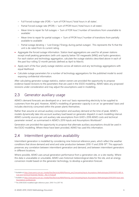- Full Forced outage rate (FOR) = 'sum of FOR hours'/'total hours in all states'.
- Partial Forced outage rate (PFOR) = 'sum of PFOR hours'/'total hours in all states'.
- Mean time to repair for full outages = 'Sum of FOR hour'/'number of transitions from unavailable to available'.
- Mean time to repair for partial outages = 'Sum of PFOR hour'/'number of transitions from partially available to available'.
- Partial outage derating = 'Lost Energy'/'Energy during partial outages'. This represents the % that the unit is de-rated from its current rating.
- Aggregate the forced outage information. Station level aggregations are used for all power stations except small peaking generators (with unit capacity below 150 megawatts [MW]) and hydro generators. For each station and technology aggregation, calculate the outage statistics described above in each of the past four rolling 12-month periods (defined as April to March).
- Apply each of the four yearly outage statistics across all stations and any technology aggregations with equal likelihood.
- Calculate outage parameters for a number of technology aggregations for the published model to avoid exposing confidential information.

After calculating generator outage statistics, station owners are provided the opportunity to propose evidence-based revisions to the parameters that are used in the ESOO modelling. AEMO takes any proposed revisions under consideration and may adjust the assumptions used in modelling.

#### <span id="page-5-0"></span>2.3 Generator auxiliary usage

AEMO's demand forecasts are developed on a 'sent-out' basis representing electricity to be supplied to customers from the grid. However, AEMO's modelling of generator capacity is on an 'as-generated' basis and includes electricity consumed within the power plants themselves.

Rather than assume an annual auxiliary consumption and auxiliary demand at the time of peak, AEMO's models dynamically take into account auxiliary load based on generator dispatch in each modelling interval. AEMO currently sources per unit auxiliary rate assumptions from GHD's 2018 AEMO costs and technical parameter review<sup>8</sup>, as summarised in AEMO's 2019 Inputs and Assumptions Workbook<sup>9</sup>.

Generators are provided the opportunity to propose that alternate auxiliary assumptions should be used in the ESOO modelling. Where these have been provided, AEMO has used this information.

#### <span id="page-5-1"></span>2.4 Intermittent generation availability

Intermittent generation is modelled by considering nine historical reference years, which reflect the weather conditions that drove demand and wind and solar production between 2010-11 and 2018-19<sup>10</sup>. This approach preserves any correlation between intermittent generation and demand, and between intermittent generators in different locations.

Where possible, AEMO uses actual generation performance from a generation site, or a site nearby. Where this data is unavailable or unsuitable, AEMO uses historical meteorological data for the site, and an energy conversion model based on the generator technology, to develop a generation forecast.

<sup>8</sup> Available a[t https://www.aemo.com.au/-/media/Files/Electricity/NEM/Planning\\_and\\_Forecasting/Inputs-Assumptions-Methodologies/2019/9110715-REP-A-](https://www.aemo.com.au/-/media/Files/Electricity/NEM/Planning_and_Forecasting/Inputs-Assumptions-Methodologies/2019/9110715-REP-A-Cost-and-Technical-Parameter-Review---Rev-4-Final.pdf)[Cost-and-Technical-Parameter-Review---Rev-4-Final.pdf.](https://www.aemo.com.au/-/media/Files/Electricity/NEM/Planning_and_Forecasting/Inputs-Assumptions-Methodologies/2019/9110715-REP-A-Cost-and-Technical-Parameter-Review---Rev-4-Final.pdf)

<sup>9</sup> Available a[t https://www.aemo.com.au/-/media/Files/Electricity/NEM/Planning\\_and\\_Forecasting/Inputs-Assumptions-Methodologies/2019/2019-Input-and-](https://www.aemo.com.au/-/media/Files/Electricity/NEM/Planning_and_Forecasting/Inputs-Assumptions-Methodologies/2019/2019-Input-and-Assumptions-workbook.xlsx)[Assumptions-workbook.xlsx](https://www.aemo.com.au/-/media/Files/Electricity/NEM/Planning_and_Forecasting/Inputs-Assumptions-Methodologies/2019/2019-Input-and-Assumptions-workbook.xlsx)

<sup>10</sup> The 2018 ESOO modelled eight reference years: 2010-11 to 2017-18.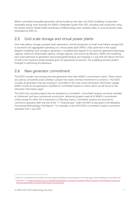Where committed renewable generation will be located at new sites, the ESOO modelling incorporates renewable energy zone forecasts for AEMO's Integrated System Plan (ISP), including solar production using the System Advisor Model (SAM) and Bureau of Meteorology solar insolation data, or wind production data developed by DNV-GL.

#### <span id="page-6-0"></span>2.5 Grid-scale storage and virtual power plants

Grid-scale battery storage, pumped hydro generation, and the proportion of small-scale battery storage that is assumed to be aggregated (operating as a virtual power plant [VPP]) is fully optimised in the supply dispatch modelling. Each storage or generator is modelled with regards to its maximum generation/discharge capacity, maximum load/charge capacity, storage capacity, and round-trip efficiency. Within the modelling, each asset optimises its generation and pumping/discharging and charging in a way that will reduce the level of USE to the maximum extent possible given its operational constraints. The modelling assumes perfect foresight in optimising this behaviour.

#### <span id="page-6-1"></span>2.6 New generator commitment

The ESOO includes only existing and new generation that meet AEMO's commitment criteria. These criteria are used to consistently assess whether a project has made a formal commitment to construct. The ESOO includes all generation that was existing or committed in the most recent Generation Information update. AEMO include all new generators classified as 'Committed' based on criteria which can be found on the Generator Information page<sup>11</sup>.

The ESOO also includes projects that are classified as Committed\*. Committed\* projects are those classified as 'Advanced' and have commenced construction. Advanced projects meet all of AEMO's commitment criteria except for either the Components or Planning criteria. Committed\* projects are assumed to commence operation after the end of the "T-1 financial year" under the RRO as discussed in the Reliability Forecasting Methodology Final Report<sup>12</sup>. For example, in the 2019 ESOO, Committed\* projects commence operation from 1 July 2021.

<sup>11</sup> Criteria for Committed and Committed\* are in each regional spreadsheet on the Generation Information page, under the Background information tab.

<sup>&</sup>lt;sup>12</sup> See Section 5.3 a[t https://www.aemo.com.au/-/media/Files/Stakeholder\\_Consultation/Consultations/NEM-Consultations/2019/Reliability-Forecasting-](https://www.aemo.com.au/-/media/Files/Stakeholder_Consultation/Consultations/NEM-Consultations/2019/Reliability-Forecasting-Methodology/Reliability-Forecasting-Methodology-Final-Report.pdf)[Methodology/Reliability-Forecasting-Methodology-Final-Report.pdf.](https://www.aemo.com.au/-/media/Files/Stakeholder_Consultation/Consultations/NEM-Consultations/2019/Reliability-Forecasting-Methodology/Reliability-Forecasting-Methodology-Final-Report.pdf)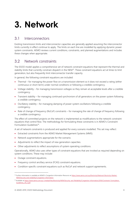### <span id="page-7-0"></span>**3. Network**

#### <span id="page-7-1"></span>3.1 Interconnectors

Existing transmission limits and interconnector capacities are generally applied assuming the interconnector limits currently in effect continue to apply. The limits on each line are modelled by applying dynamic power system constraints. AEMO reviews current conditions, constraints, and planned augmentations and includes these changes when appropriate.

#### <span id="page-7-2"></span>3.2 Network constraints

The ESOO model applies a comprehensive set of network constraint equations that represent the thermal and stability limits that currently constrain dispatch in the NEM<sup>13</sup>. These constraint equations act at times to limit generation, but also frequently limit interconnector transfer capacity.

In general, the following constraint equations are included:

- Thermal for managing the power flow on a transmission element so it does not exceed a rating (either continuous or short-term) under normal conditions or following a credible contingency.
- Voltage stability for managing transmission voltages so they remain at acceptable levels after a credible contingency.
- Transient stability for managing continued synchronism of all generators on the power system following a credible contingency.
- Oscillatory stability for managing damping of power system oscillations following a credible contingency.
- Rate of change of frequency (RoCoF) constraints for managing the rate of change of frequency following a credible contingency.

The effect of committed projects on the network is implemented as modifications to the network constraint equations that control flow. The methodology for formulating these constraints is in AEMO's Constraint Formulation Guidelines<sup>14</sup>.

A set of network constraints is produced and applied for every scenario modelled. This set may reflect:

- Extracted constraints from the AEMO Market Management Systems (MMS).
- Network augmentations appropriate for the scenario.
- Adjustments to reflect the impact of new generation capacities.
- Other adjustments to reflect assumptions of system operating conditions.

Operationally, AEMO also uses other types of constraint equations that are invoked as required depending on system conditions. These may include:

• Outage constraint equations.

- Frequency control ancillary service (FCAS) constraint equations.
- Condition-specific constraint equations such as RoCoF and network support agreements.

<sup>&</sup>lt;sup>13</sup> Further information is available at AEMO's Congestion Information Resource at [https://www.aemo.com.au/Electricity/National-Electricity-Market-](https://www.aemo.com.au/Electricity/National-Electricity-Market-NEM/Security-and-reliability/Congestion-information)[NEM/Security-and-reliability/Congestion-information.](https://www.aemo.com.au/Electricity/National-Electricity-Market-NEM/Security-and-reliability/Congestion-information)

<sup>14</sup> Available a[t https://www.aemo.com.au/-/media/Files/Electricity/NEM/Security\\_and\\_Reliability/Congestion-Information/2016/Constraint\\_Formulation\\_](https://www.aemo.com.au/-/media/Files/Electricity/NEM/Security_and_Reliability/Congestion-Information/2016/Constraint_Formulation_Guidelines_v10_1.pdf) [Guidelines\\_v10\\_1.pdf.](https://www.aemo.com.au/-/media/Files/Electricity/NEM/Security_and_Reliability/Congestion-Information/2016/Constraint_Formulation_Guidelines_v10_1.pdf)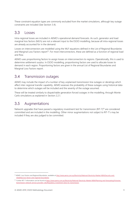These constraint equation types are commonly excluded from the market simulations, although key outage constraints are included (See Section [3.4\)](#page-8-1).

#### <span id="page-8-0"></span>3.3 Losses

Intra-regional losses are included in AEMO's operational demand forecasts. As such, generator and load marginal loss factors (MLFs) are not a relevant input to the ESOO modelling, because all intra-regional losses are already accounted for in the demand.

Losses on interconnectors are modelled using the MLF equations defined in the List of Regional Boundaries and Marginal Loss Factors report<sup>15</sup>. For most interconnectors, these are defined as a function of regional load and flow.

AEMO uses proportioning factors to assign losses on interconnectors to regions. Operationally, this is used to determine settlement surplus. In ESOO modelling, proportioning factors are used to allocate losses to demand in each region. Proportioning factors are given in the annual List of Regional Boundaries and Marginal Loss Factors report.

#### <span id="page-8-1"></span>3.4 Transmission outages

AEMO may include the impact of a number of key unplanned transmission line outages or deratings which affect inter-regional transfer capability. AEMO assesses the probability of these outages using historical data to determine which outages will be included and the severity of the outage assumed.

These will be treated similarly to dispatchable generation forced outages in the modelling, through Monte Carlo simulations as explained in Section [2.2.1.](#page-4-3)

#### <span id="page-8-2"></span>3.5 Augmentations

Network upgrades that have passed a regulatory investment test for transmission (RIT-T)<sup>16</sup> are considered committed and are included in the modelling. Other minor augmentations not subject to RIT-T's may be included if they are also judged to be committed.

<sup>&</sup>lt;sup>15</sup> AEMO. Loss Factors and Regional Boundaries, available at [http://www.aemo.com.au/Electricity/National-Electricity-Market-NEM/Security-and](http://www.aemo.com.au/Electricity/National-Electricity-Market-NEM/Security-and-reliability/Loss-factor-and-regional-boundaries)[reliability/Loss-factor-and-regional-boundaries.](http://www.aemo.com.au/Electricity/National-Electricity-Market-NEM/Security-and-reliability/Loss-factor-and-regional-boundaries)

<sup>&</sup>lt;sup>16</sup> Further RIT-T information can be found a[t https://www.aemo.com.au/Electricity/National-Electricity-Market-NEM/Planning-and-forecasting/Victorian](https://www.aemo.com.au/Electricity/National-Electricity-Market-NEM/Planning-and-forecasting/Victorian-transmission-network-service-provider-role/Regulatory-investment-tests-for-transmission)[transmission-network-service-provider-role/Regulatory-investment-tests-for-transmission.](https://www.aemo.com.au/Electricity/National-Electricity-Market-NEM/Planning-and-forecasting/Victorian-transmission-network-service-provider-role/Regulatory-investment-tests-for-transmission)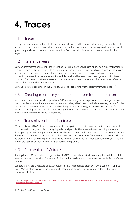### <span id="page-9-0"></span>**4. Traces**

#### <span id="page-9-1"></span>4.1 Traces

The operational demand, intermittent generation availability, and transmission line ratings are inputs into the model on an interval level. Trace development relies on historical reference years to provide guidance on the typical daily and weekly demand shapes, variations from interval to interval, and correlations with other regions.

#### <span id="page-9-2"></span>4.2 Reference years

Demand, intermittent generation, and line rating traces are developed based on multiple historical reference years according to the RSIG. This is to capture year-on-year variations in demand correlations across regions and intermittent generation contributions during high demand periods. This approach preserves any correlation between intermittent generation and demand, and between intermittent generators in different locations. The choice of reference years and the number of those modelled may change as more reference years with good data become available.

Demand traces are explained in the Electricity Demand Forecasting Methodology Information paper<sup>17</sup>.

#### <span id="page-9-3"></span>4.3 Creating reference years trace for intermittent generation

As described in Section [2.4,](#page-5-1) where possible AEMO uses actual generation performance from a generation site, or nearby. Where this data is unavailable or unsuitable, AEMO uses historical meteorological data for the site, and an energy conversion model based on the generator technology, to develop a generation forecast. Where an actual generator site is far away, wind production data developed to model new entrant wind farms in new locations may be used as an alternative.

#### <span id="page-9-4"></span>4.4 Transmission line rating traces

Where available, AEMO will apply transmission line ratings traces to better account for the transfer capability on transmission lines, particularly during high demand periods. These transmission line rating traces are developed by building a regression between weather observations at location along the transmission line and the measured line rating in historical data. The actual weather observations from the reference years will then be processed through this regression to develop forward-looking line traces for each reference year. The line ratings are used as an input into the RHS of constraint equations.

#### <span id="page-9-5"></span>4.5 Photovoltaic (PV) traces

Rooftop PV and PV non-scheduled generation (PVNSG) reduce the electricity consumption and demand that needs to be met by the NEM. The extent of this contribution depends on the average capacity factor of these systems.

Capacity factors are a measure of power output relative to nameplate capacity at any given time. For fixed solar PV installations, capacity factors generally follow a parabolic arch, peaking at midday, when solar irradiance is highest.

<sup>17</sup> Available at [https://www.aemo.com.au/-/media/Files/Electricity/NEM/Planning\\_and\\_Forecasting/NEM\\_ESOO/2019/Electricity-Demand-Forecasting-](https://www.aemo.com.au/-/media/Files/Electricity/NEM/Planning_and_Forecasting/NEM_ESOO/2019/Electricity-Demand-Forecasting-Methodology-Information-Paper.pdf)[Methodology-Information-Paper.pdf.](https://www.aemo.com.au/-/media/Files/Electricity/NEM/Planning_and_Forecasting/NEM_ESOO/2019/Electricity-Demand-Forecasting-Methodology-Information-Paper.pdf)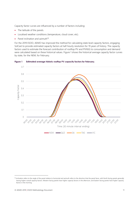Capacity factor curves are influenced by a number of factors including:

- The latitude of the panels.
- Localised weather conditions (temperature, cloud cover, etc).
- Panel inclination and azimuth<sup>18</sup>.

For the 2019 ESOO, AEMO has improved the method for calculating state level capacity factors, engaging SolCast to provide estimated capacity factors at half-hourly resolution for 19 years of history. The capacity factors used to estimate the forecast contribution of rooftop PV and PVNSG to consumption and demand were calculated based on these historical values. [Figure 1](#page-10-0) shows the historical average capacity factor curves by state, for the NEM, for February.



<span id="page-10-0"></span>**Figure 1 Estimated average historic rooftop PV capacity factors for February.**

<sup>18</sup> Inclination refers to the angle of the panel relative to horizontal and azimuth refers to the direction that the panel faces, with North facing panels generally having higher overall capacity factors. Western facing panels have higher capacity factors in the afternoon, and Eastern facing panels have higher capacity factors in the morning.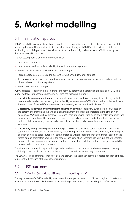### <span id="page-11-0"></span>**5. Market modelling**

#### <span id="page-11-1"></span>5.1 Simulation approach

AEMO's reliability assessments are based on a full time-sequential model that simulates each interval of the modelling horizon. This model replicates the NEM dispatch engine (NEMDE) to the extent possible by minimising cost of dispatch per interval subject to a number of physical constraints. AEMO currently uses the Plexos modelling tool for this.

The key assumptions that drive this model include:

- Interval level demand.
- Interval level wind and solar availability for each intermittent generator.
- The seasonal capacity of each scheduled generating unit.
- Forced outage parameters used to account for unplanned generator outages.
- Transmission limitations, represented by transmission line ratings, interconnector limits and a detailed set of transmission constraint equations.
- The level of DSP in each region.

AEMO assesses reliability in the medium to long term by determining a statistical expectation of USE. This modelling takes into account uncertainty by using the following methods:

- **Uncertainty in maximum demand** the modelling accounts for this uncertainty by modelling multiple maximum demand cases, defined by the probability of exceedance (POE) of the maximum demand value. The outcomes of these different scenarios are then weighted as described in Section [5.2.2.](#page-12-0)
- **Uncertainty in demand and intermittent generation patterns** reliability outcomes are influenced by the pattern of demand and the available generation from intermittent generators at the time of high demand. AEMO uses multiple historical reference years of demand, wind generation, solar generation, and transmission line ratings. This approach captures the diversity in demand and intermittent generation patterns while maintaining correlation between these variables and across different geographical locations.
- **Uncertainty in unplanned generation outages** AEMO uses a Monte Carlo simulation approach to capture the range of availability provided by scheduled generation. Within each simulation, the timing and duration of full and partial outages of each generating unit are independently determined, based on the forced outage parameters applied in the model. Each simulation therefore has a unique set of generator outage patterns. Simulating many outage patterns ensures the modelling captures a range of availability outcomes due to unplanned outages.

The Monte Carlo simulation approach is applied to each maximum demand and reference year, creating statistically robust results which capture the impact of uncertainties around key parameters.

The ESOO assesses different scenarios of demand growth. The approach above is repeated for each of those, to present USE for each of the scenarios separately.

#### <span id="page-11-2"></span>5.2 USE outcomes

#### 5.2.1 Definition (what does USE mean in modelling terms)

The key outcome of AEMO's reliability assessment is the expected level of USE in each region. USE refers to energy that cannot be supplied to consumers, resulting in involuntary load shedding (loss of customer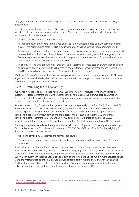supply), as a result of insufficient levels of generation capacity, demand response, or network capability, to meet demand.

In AEMO's reliability forecasting models, USE occurs in a region when there is no additional supply option available that is able to meet demand in that region. When USE is occurring in the model, it means the following set of conditions must be true:

- All DSP available in that region is fully utilised.
- All interconnectors are flowing into that region at their export/import (based on NEM convention) limits, except if the neighbouring region is also experiencing USE or has no surplus supply (including DSP).
- Any generator in the region that is not generating at its available capacity (after accounting for unplanned outages) is due to the impact of transmission constraint equations, whereby any additional generation from these generators would result in a reduction in generation or interconnector flow elsewhere in a way that would increase or have no impact on total USE.
- All energy storage units are running at their available capacity unless restricted by transmission constraint equations (as above) or having fully exhausted its energy storage capacity in other periods where there was USE or would otherwise have been USE if not for the battery's discharge.

Within each Monte Carlo simulation that has been performed, the model will produce the level of USE in each region in each interval. The level of USE can then be summed across the year to determine the total volume of USE in each region in each financial year.

#### <span id="page-12-0"></span>5.2.2 Determining the USE weightings

AEMO has historically calculated expected annual USE by using different levels of maximum demand outcomes, reflecting different underlying weather conditions that can drive extreme peak consumption. Assessments of USE consider the availability of supply to meet an uncertain demand, with many simulations conducted to account for potential generator outages.

Simulations, accounting for randomised generator outages, are generally limited to 10% POE and 50% POE maximum demand forecasts only, and the average of these simulations is weighted to account for the statistical spread of the spectrum of peak demands. As the risk of USE under 90% POE peak demand conditions is generally very low, simulations are avoided, and it is assumed that the USE under these conditions is zero. Therefore, 10% POE and 50% POE outcomes are weighted at 30.4% and 39.2% respectively, with the remaining 30.4% weighting assigned to 90% POE outcomes with zero USE assumed.

The weightings have been derived using a mathematical approach. Expected USE was approximated using a Taylor series expansion. From three points – such as 10% POE, 50% POE, and 90% POE – the weighting for these can be derived perfectly when:

- Maximum demand POE outcomes are normally distributed.
- USE outcomes as a function of maximum demand can be approximated by a second order (or lower) polynomial.

Statistical tests show that maximum demand outcomes are not normally distributed though they were however found to be reasonably close to. To ensure the weightings were still valid, AEMO as part of the 2018  $ESOO<sup>19</sup>$  undertook a comprehensive testing of the accuracy against a much more detailed approximation of USE in a particular year, that had used additional simulations for other POEs to make it more accurate. It was found the mathematical approximation worked well across different regions and different years analysis Additional points will allow a better fit for USE functions that are better approximated with higher order polynomials (of an order one lower than the number of maximum demand POEs used).

<sup>19</sup> See Appendix A3 of the 2018 ESOO here[: https://www.aemo.com.au/-/media/Files/Electricity/NEM/Planning\\_and\\_Forecasting/NEM\\_ESOO/2018/2018-](https://www.aemo.com.au/-/media/Files/Electricity/NEM/Planning_and_Forecasting/NEM_ESOO/2018/2018-Electricity-Statement-of-Opportunities.pdf) [Electricity-Statement-of-Opportunities.pdf](https://www.aemo.com.au/-/media/Files/Electricity/NEM/Planning_and_Forecasting/NEM_ESOO/2018/2018-Electricity-Statement-of-Opportunities.pdf)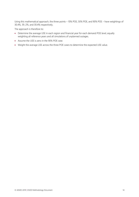Using this mathematical approach, the three points – 10% POE, 50% POE, and 90% POE – have weightings of 30.4%, 39. 2%, and 30.4% respectively.

The approach is therefore to:

- Determine the average USE in each region and financial year for each demand POE level, equally weighting all reference years and all simulations of unplanned outages.
- Assume the USE is zero in the 90% POE case.
- Weight the average USE across the three POE cases to determine the expected USE value.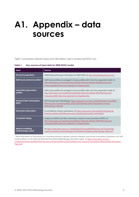### <span id="page-14-0"></span>**A1. Appendix – data sources**

Table 1 summarises relevant inputs and information used in producing ESOO runs.

<span id="page-14-1"></span>**Table 1 Key sources of input data for NEM ESOO model**

| Input                                         | Source                                                                                                                                                                                                                                   |
|-----------------------------------------------|------------------------------------------------------------------------------------------------------------------------------------------------------------------------------------------------------------------------------------------|
| <b>Demand projections</b>                     | AEMO demand forecast information for NEM ESOO, at http://forecasting.aemo.com.au.                                                                                                                                                        |
| Half-hourly demand profiles*                  | Half-hourly profiles are averaged to hourly profiles within the time-sequential model. At<br>http://www.aemo.com.au/Electricity/National-Electricity-Market-NEM/Planning-and-<br>forecasting/NEM-Electricity-Statement-of-Opportunities. |
| Intermittent generation<br>profiles           | Half-hourly profiles are averaged to hourly profiles within the time-sequential model. At<br>http://www.aemo.com.au/Electricity/National-Electricity-Market-NEM/Planning-and-<br>forecasting/NEM-Electricity-Statement-of-Opportunities. |
| <b>Demand Side Participation</b><br>(DSP)     | DSP Forecast and methodology: https://www.aemo.com.au/-/media/Files/Electricity/NEM/<br>Planning and Forecasting/NEM ESOO/2019/Demand-Side-Participation-Forecast-<br>Methodology-2019.pdf                                               |
| <b>Generator information</b>                  | As provided by industry participants. At https://www.aemo.com.au/Electricity/National-<br>Electricity-Market-NEM/Planning-and-forecasting/Generation-information.                                                                        |
| <b>Constraint ratings</b>                     | Analysis by AEMO and other transmission network service providers (TNSPs). At<br>http://www.aemo.com.au/Electricity/National-Electricity-Market-NEM/Planning-and-<br>forecasting/NEM-Electricity-Statement-of-Opportunities.             |
| <b>Market modelling</b><br>methodology report | At https://www.aemo.com.au/-/media/Files/Electricity/NEM/Planning and Forecasting/<br>Inputs-Assumptions-Methodologies/2019/Market-Modelling-Methodology-Paper.pdf.                                                                      |

\* More information on the process for converting maximum demand, minimum demand, and annual consumption projections into halfhourly profiles is in the Electricity Demand Forecasting Methodology Information paper, a[t https://www.aemo.com.au/-](https://www.aemo.com.au/-/media/Files/Electricity/NEM/Planning_and_Forecasting/NEM_ESOO/2019/Electricity-Demand-Forecasting-Methodology-Information-Paper.pdf) [/media/Files/Electricity/NEM/Planning\\_and\\_Forecasting/NEM\\_ESOO/2019/Electricity-Demand-Forecasting-Methodology-Information-](https://www.aemo.com.au/-/media/Files/Electricity/NEM/Planning_and_Forecasting/NEM_ESOO/2019/Electricity-Demand-Forecasting-Methodology-Information-Paper.pdf)[Paper.pdf.](https://www.aemo.com.au/-/media/Files/Electricity/NEM/Planning_and_Forecasting/NEM_ESOO/2019/Electricity-Demand-Forecasting-Methodology-Information-Paper.pdf)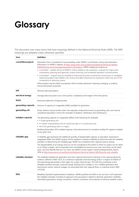## <span id="page-15-0"></span>**Glossary**

This document uses many terms that have meanings defined in the National Electricity Rules (NER). The NER meanings are adopted unless otherwise specified.

| Term                 | <b>Definition</b>                                                                                                                                                                                                                                                                                                                                                                                                                                                                                                                                                  |
|----------------------|--------------------------------------------------------------------------------------------------------------------------------------------------------------------------------------------------------------------------------------------------------------------------------------------------------------------------------------------------------------------------------------------------------------------------------------------------------------------------------------------------------------------------------------------------------------------|
| committed projects   | Generation that is considered to be proceeding under AEMO's commitment criteria (see Generation<br>Information on AEMO's website, at https://www.aemo.com.au/Electricity/National-Electricity-Market-<br>NEM/Planning-and-forecasting/Generation-information). AEMO categorises projects as:                                                                                                                                                                                                                                                                       |
|                      | • Committed - satisfies all five of AEMO's criteria related to site acquisition, contracts for major plant<br>components, planning and approvals, project financing, and scheduled operation commencement.                                                                                                                                                                                                                                                                                                                                                         |
|                      | • Committed* - projects that are classified as Advanced and have commenced construction or installation.<br>Advanced projects meet AEMO's site, finance and date criteria but are required to meet only one of the<br>components or planning criteria.                                                                                                                                                                                                                                                                                                             |
|                      | Other projects may be listed as proposed, which includes advanced, maturing, emerging, or publicly<br>announced project proposals.                                                                                                                                                                                                                                                                                                                                                                                                                                 |
| <b>DSP</b>           | Demand side participation                                                                                                                                                                                                                                                                                                                                                                                                                                                                                                                                          |
| electrical energy    | Average electrical power over a time period, multiplied by the length of the time period.                                                                                                                                                                                                                                                                                                                                                                                                                                                                          |
| <b>ESOO</b>          | Electricity Statement of Opportunities                                                                                                                                                                                                                                                                                                                                                                                                                                                                                                                             |
| generating capacity  | Amount of capacity (in megawatts (MW)) available for generation.                                                                                                                                                                                                                                                                                                                                                                                                                                                                                                   |
| generating unit      | Power stations may be broken down into separate components known as generating units, and may be<br>considered separately in terms (for example) of dispatch, withdrawal, and maintenance.                                                                                                                                                                                                                                                                                                                                                                         |
| installed capacity   | The generating capacity (in megawatts (MW)) of the following (for example):<br>• A single generating unit.                                                                                                                                                                                                                                                                                                                                                                                                                                                         |
|                      | • A number of generating units of a particular type or in a particular area.                                                                                                                                                                                                                                                                                                                                                                                                                                                                                       |
|                      | • All of the generating units in a region.                                                                                                                                                                                                                                                                                                                                                                                                                                                                                                                         |
|                      | Rooftop photovoltaic (PV) installed capacity is the total amount of cumulative rooftop PV capacity installed<br>at any given time.                                                                                                                                                                                                                                                                                                                                                                                                                                 |
| reliability gap      | A reliability gap represents the additional quantity of dispatchable capacity or equivalent, expressed in<br>megawatts (MW), that AEMO projects will be needed to maintain reliability at levels that meet the reliability<br>standard. In determining this reliability gap, AEMO has considered inter-regional reserve sharing.                                                                                                                                                                                                                                   |
|                      | The dispatchability of an energy resource can be considered as the extent to which its output can be relied<br>on to 'follow a target', and incorporates how controllable the resources are, how much they can be relied<br>upon, and how flexible they are. For more, see AEMO's Power System Technical Requirements, March<br>2018, at http://www.aemo.com.au/Electricity/National-Electricity-Market-NEM/Security-and-reliability.                                                                                                                              |
| reliability standard | The reliability standard for generation and inter-regional transmission elements in the national electricity<br>market is defined in NER 3.9.3C as a maximum expected unserved energy (USE) in a region of 0.002% of<br>the total energy demanded in that region for a given financial year. The USE that contributes to the<br>reliability standard excludes unserved energy resulting from multiple or non-credible generation and<br>transmission events, network outages not associated with inter regional flows, or industrial action (NER<br>$3.9.3C(b)$ ). |
| <b>RSIG</b>          | Reliability Standard Implementation Guidelines. AEMO publishes the RSIG to set out how it will implement<br>the reliability standard, including its approach and assumptions related to demand, generation reliability,<br>intermittent generation, energy constraints, network constraints, and treatment of extreme weather events.                                                                                                                                                                                                                              |